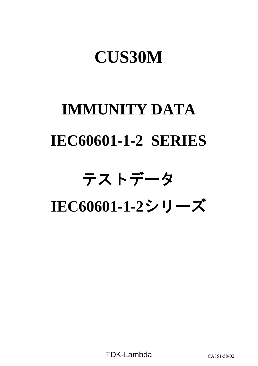# **CUS30M**

# **IMMUNITY DATA IEC60601-1-2 SERIES**

# テストデータ

**IEC60601-1-2**シリーズ

TDK-Lambda CA851-58-02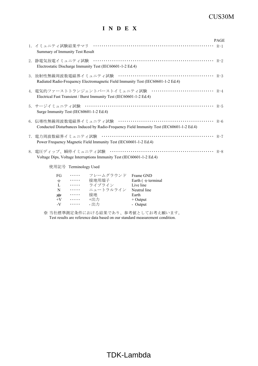## CUS30M

## **I N D E X**

|                                                                                                                                           | <b>PAGE</b> |
|-------------------------------------------------------------------------------------------------------------------------------------------|-------------|
| Summary of Immunity Test Result                                                                                                           |             |
| Electrostatic Discharge Immunity Test (IEC60601-1-2 Ed.4)                                                                                 |             |
| Radiated Radio-Frequency Electromagnetic Field Immunity Test (IEC60601-1-2 Ed.4)                                                          |             |
| 4. 電気的ファーストトランジェントバーストイミュニティ試験 ······························· R-4<br>Electrical Fast Transient / Burst Immunity Test (IEC60601-1-2 Ed.4) |             |
| Surge Immunity Test (IEC60601-1-2 Ed.4)                                                                                                   |             |
| Conducted Disturbances Induced by Radio-Frequency Field Immunity Test (IEC60601-1-2 Ed.4)                                                 |             |
| Power Frequency Magnetic Field Immunity Test (IEC60601-1-2 Ed.4)                                                                          |             |
| Voltage Dips, Voltage Interruptions Immunity Test (IEC60601-1-2 Ed.4)                                                                     |             |
| 使用記号 Terminology Used                                                                                                                     |             |
| FG …… フレームグラウンド Frame GND<br>→ ・・・・・ 接地用端子 Earth ( $\triangleq$ terminal                                                                  |             |

| FG               | .        | フレームグラウンド | Frame GND              |
|------------------|----------|-----------|------------------------|
| $\pm$            | .        | 接地用端子     | Earth $($ $=$ terminal |
| L                | $\cdots$ | ライブライン    | Live line              |
| N                | .        | ニュートラルライン | Neutral line           |
| $\overline{\pi}$ | .        | 接地        | Earth                  |
| $+V$             | $\cdots$ | +出力       | $+$ Output             |
| $-V$             | $\cdots$ | - 出力      | - Output               |
|                  |          |           |                        |

※ 当社標準測定条件における結果であり、参考値としてお考え願います。 Test results are reference data based on our standard measurement condition.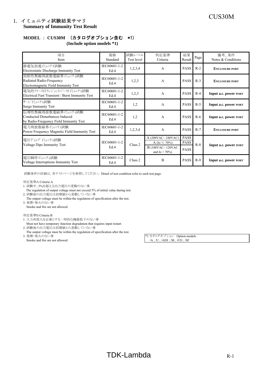# CUS30M 1.イミュニティ試験結果サマリ **Summary of Immunity Test Result**

# **MODEL** : **CUS30M** (カタログオプション含む \*1)

**(Include option models \*1)**

| 項目<br>Item                                                                                      | 規格<br>Standard       | 試験レベル<br>Test level | 判定基準<br>Criteria                                             | 結果<br>Result               | Page I | 備考、条件<br>Notes & Conditions |
|-------------------------------------------------------------------------------------------------|----------------------|---------------------|--------------------------------------------------------------|----------------------------|--------|-----------------------------|
| 静電気放電バュニテイ試験<br>Electrostatic Discharge Immunity Test                                           | IEC60601-1-2<br>Ed.4 | 1,2,3,4             | A                                                            | <b>PASS</b>                | $R-2$  | <b>ENCLOSURE PORT</b>       |
| 放射性無線周波数電磁界イミュニティ試験<br>Radiated Radio-Frequency<br>Electromagnetic Field Immunity Test          | IEC60601-1-2<br>Ed.4 | 1,2,3               | A                                                            | <b>PASS</b>                | $R-3$  | <b>ENCLOSURE PORT</b>       |
| 電気的ファーストトランジェントバーストイミュニティ試験<br>Electrical Fast Transient / Burst Immunity Test                  | IEC60601-1-2<br>Ed.4 | 1,2,3               | A                                                            | <b>PASS</b>                | $R-4$  | Input a.c. power PORT       |
| サージイミュニティ試験<br><b>Surge Immunity Test</b>                                                       | IEC60601-1-2<br>Ed.4 | 1,2                 | A                                                            | <b>PASS</b>                | $R-5$  | Input a.c. power PORT       |
| 伝導性無線周波数電磁界イミュニティ試験<br>Conducted Disturbances Induced<br>by Radio-Frequency Field Immunity Test | IEC60601-1-2<br>Ed.4 | 1,2                 | A                                                            | <b>PASS</b>                | $R-6$  | Input a.c. power PORT       |
| 電力周波数磁界ペュニティ試験<br>Power Frequency Magnetic Field Immunity Test                                  | IEC60601-1-2<br>Ed.4 | 1,2,3,4             | A                                                            | <b>PASS</b>                | $R-7$  | <b>ENCLOSURE PORT</b>       |
| 電圧ディップ イミュニティ試験                                                                                 | IEC60601-1-2         |                     | A (200VAC~240VAC)                                            | <b>PASS</b><br><b>PASS</b> |        |                             |
| Voltage Dips Immunity Test                                                                      | Ed.4                 | Class 2             | A (Io $\leq 70\%$ )<br>B (100VAC~120VAC<br>and Io $> 70\%$ ) | <b>PASS</b>                | $R-8$  | Input a.c. power PORT       |
| 電圧瞬停イミュニティ試験<br>Voltage Interruptions Immunity Test                                             | IEC60601-1-2<br>Ed.4 | Class <sub>2</sub>  | B                                                            | <b>PASS</b>                | $R-9$  | Input a.c. power PORT       |

試験条件の詳細は、各テストページを参照してください。 Detail of test condition refer to each test page.

#### 判定基準A Criteria A

- 1. 試験中、5%を超える出力電圧の変動のない事
- The regulation of output voltage must not exceed 5% of initial value during test. 2. 試験後の出力電圧は初期値から変動していない事
- The output voltage must be within the regulation of specification after the test. 3. 発煙・発火のない事
	- Smoke and fire are not allowed.

#### 判定基準B Criteria B

- 1. 入力再投入を必要とする一時的な機能低下のない事
- Must not have temporary function degradation that requires input restart. 2. 試験後の出力電圧は初期値から変動していない事
- The output voltage must be within the regulation of specification after the test.<br>3. 発煙・発火のない事
- Smoke and fire are not allowed.

\*1 カタログオプション Option models<br>/A , /U , /ADJ , /M , /CO , /SF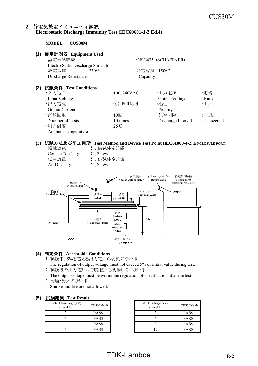#### 2.静電気放電イミュニティ試験 **Electrostatic Discharge Immunity Test (IEC60601-1-2 Ed.4)**

**MODEL** : **CUS30M**

Contact Discharge

| (1) | 使用計測器 Equipment Used<br>静電気試験機<br>Electro Static Discharge Simulator |                    | :NSG435 (SCHAFFNER) |             |
|-----|----------------------------------------------------------------------|--------------------|---------------------|-------------|
|     | 放電抵抗<br>:330 $\Omega$                                                |                    | 静電容量:150pF          |             |
|     | Discharge Resistance                                                 | Capacity           |                     |             |
| (2) | 試験条件 Test Conditions                                                 |                    |                     |             |
|     | ・入力電圧                                                                | $:100, 240$ VAC    | ・出力電圧               | :定格         |
|     | Input Voltage                                                        |                    | Output Voltage      | Rated       |
|     | ・出力電流                                                                | $:0\%$ , Full load | ・極性                 | $;+, -$     |
|     | <b>Output Current</b>                                                |                    | Polarity            |             |
|     | ・試験回数                                                                | $:10 \square$      | ・放電間隔               | :>1秒        |
|     | Number of Tests                                                      | 10 times           | Discharge Interval  | $>1$ second |
|     | ·周囲温度                                                                | :25 $\degree$ C    |                     |             |
|     | <b>Ambient Temperature</b>                                           |                    |                     |             |

# **(3)** 試験方法及び印加箇所 **Test Method and Device Test Point (IEC61000-4-2, ENCLOSURE PORT)** 接触放電 :  $\div$ 、供試体ネジ部<br>Contact Discharge  $\div$ , Screw

| 気中放電<br>Air Discharge          | : +、供試体ネジ部<br>$\pm$ , Screw                                                                                                           |  |
|--------------------------------|---------------------------------------------------------------------------------------------------------------------------------------|--|
| 放電ガン<br>Discharge gun          | リターンケーブル<br>静電気試験機<br>アナログ電圧計<br>Electro static<br>Analog voltage meter<br><b>Return cable</b><br>$\mathbf{v}$<br>discharge simulator |  |
| 絶縁板<br><b>Insulation plate</b> | Output<br>アルミプレート<br>供試体<br>負荷<br>Aluminum plate<br>D.U.T<br>Load<br>┵<br>FG.                                                         |  |
| <b>AC</b> input                | 抵抗<br><b>Resistor</b><br>木製台<br>0.8 <sub>m</sub><br>$470k\Omega$<br>Wood made table<br>抵抗<br><b>Resistor</b><br>470kΩ                 |  |
| 77,                            | グランドプレーン<br><b>GND</b> plane                                                                                                          |  |

#### **(4)** 判定条件 **Acceptable Conditions**

1. 試験中、5%を超える出力電圧の変動のない事

The regulation of output voltage must not exceed 5% of initial value during test.

2. 試験後の出力電圧は初期値から変動していない事

 The output voltage must be within the regulation of specification after the test. 3. 発煙・発火のない事

Smoke and fire are not allowed.

#### **(5)** 試験結果 **Test Result**

| ----------                          |             |                     |
|-------------------------------------|-------------|---------------------|
| Contact Discharge (kV)<br>(Level 4) | CUS30M- $*$ | Air Discha<br>(Leve |
|                                     | <b>PASS</b> |                     |
|                                     | <b>PASS</b> |                     |
|                                     | <b>PASS</b> |                     |
|                                     | <b>PASS</b> |                     |

| CUS30M-*    | Air Discharge(kV)<br>(Level 4) | $CUS30M-$ * |
|-------------|--------------------------------|-------------|
| <b>PASS</b> |                                | <b>PASS</b> |
| <b>PASS</b> |                                | <b>PASS</b> |
| <b>PASS</b> |                                | <b>PASS</b> |
| <b>PASS</b> |                                | <b>PASS</b> |

# $TDK-Lambda$  R-2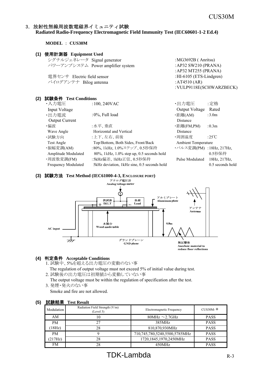#### 3.放射性無線周波数電磁界イミュニティ試験 **Radiated Radio-Frequency Electromagnetic Field Immunity Test (IEC60601-1-2 Ed.4)**

**MODEL** : **CUS30M**

#### **(1)** 使用計測器 **Equipment Used**

| : $MG3692B$ (Anritsu)      |
|----------------------------|
| : AP32 SW210 (PRANA)       |
| : AP32 MT255 (PRANA)       |
| : $HI-6105$ (ETS-Lindgren) |
| : AT4510 $(AR)$            |
| : VULP9118E(SCHWARZBECK)   |
|                            |

#### **(2)** 試験条件 **Test Conditions**

| ・入力電圧                      | $:100, 240$ VAC                             | ・出力電圧                   | :定格               |
|----------------------------|---------------------------------------------|-------------------------|-------------------|
| <b>Input Voltage</b>       |                                             | Output Voltage          | Rated             |
| ・出力電流                      | :0%, Full load                              | ・距離(AM)                 | :3.0 <sub>m</sub> |
| <b>Output Current</b>      |                                             | Distance                |                   |
| ・偏波                        | :水平、垂直                                      | ・距離(FM,PM)              | : 0.3m            |
| Wave Angle                 | Horizontal and Vertical                     | Distance                |                   |
| ・試験方向                      | :上下、左右、前後                                   | ・周囲温度                   | :25°C             |
| Test Angle                 | Top/Bottom, Both Sides, Front/Back          | Ambient Temperature     |                   |
| ・振幅変調(AM)                  | :80%, 1kHz, 1.0%ステップ、0.5秒保持                 | ·パルス変調(PM):18Hz, 217Hz, |                   |
| Amplitude Modulated        | 80%, 1kHz, 1.0% step up, 0.5 seconds hold   |                         | 0.5秒保持            |
| ・周波数変調(FM)                 | :5kHz偏差、1kHz正弦、0.5秒保持                       | Pulse Modulated         | 18Hz, 217Hz,      |
| <b>Frequency Modulated</b> | 5kHz deviation, 1kHz sine, 0.5 seconds hold |                         | 0.5 seconds hold  |
|                            |                                             |                         |                   |

#### **(3)** 試験方法 **Test Method (IEC61000-4-3, ENCLOSURE PORT)**



#### **(4)** 判定条件 **Acceptable Conditions**

- 1. 試験中、5%を超える出力電圧の変動のない事
- The regulation of output voltage must not exceed 5% of initial value during test. 2. 試験後の出力電圧は初期値から変動していない事
- The output voltage must be within the regulation of specification after the test. 3. 発煙・発火のない事

Smoke and fire are not allowed.

| <b>ANXHA</b> | лэг тоэшт                                   |                               |             |
|--------------|---------------------------------------------|-------------------------------|-------------|
| Modulation   | Radiation Field Strength (V/m)<br>(Level 3) | Electromagnetic Frequency     | CUS30M- $*$ |
| AM           | 10                                          | 80MHz $\sim$ 2.7GHz           | <b>PASS</b> |
| <b>PM</b>    | 27                                          | 385MHz                        | <b>PASS</b> |
| (18Hz)       | 28                                          | 810,870,930MHz                | <b>PASS</b> |
| <b>PM</b>    |                                             | 710,745,780,5240,5500,5785MHz | <b>PASS</b> |
| (217Hz)      | 28                                          | 1720,1845,1970,2450MHz        | <b>PASS</b> |
| FM           | 28                                          | 450MHz                        | <b>PASS</b> |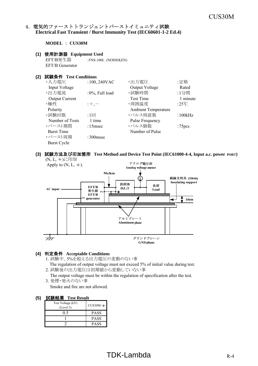#### 4. 電気的ファーストトランジェントバーストイミュニティ試験 **Electrical Fast Transient / Burst Immunity Test (IEC60601-1-2 Ed.4)**

**MODEL** : **CUS30M**

#### **(1)** 使用計測器 **Equipment Used**

EFT/B発生器 : FNS-100L (NOISEKEN) EFT/B Generator

#### **(2)** 試験条件 **Test Conditions**

| ・入力電圧                 | $:100, 240$ VAC    | ・出力電圧                      | :定格                |
|-----------------------|--------------------|----------------------------|--------------------|
| Input Voltage         |                    | Output Voltage             | Rated              |
| ・出力電流                 | $:0\%$ , Full load | ・試験時間                      | :1分間               |
| <b>Output Current</b> |                    | <b>Test Time</b>           | 1 minute           |
| ・極性                   | $;+, -$            | ·周囲温度                      | :25°C              |
| Polarity              |                    | <b>Ambient Temperature</b> |                    |
| ・試験回数                 | $:1 \Box$          | ・パルス周波数                    | :100kHz            |
| Number of Tests       | 1 time             | Pulse Frequency            |                    |
| ・バースト期間               | $:15$ msec         | ・パルス個数                     | :75 <sub>pcs</sub> |
| <b>Burst Time</b>     |                    | Number of Pulse            |                    |
| ・バースト周期               | $:300$ msec        |                            |                    |
| Burst Cycle           |                    |                            |                    |

#### **(3)** 試験方法及び印加箇所 **Test Method and Device Test Point (IEC61000-4-4, Input a.c. power PORT)**



#### **(4)** 判定条件 **Acceptable Conditions**

1. 試験中、5%を超える出力電圧の変動のない事

The regulation of output voltage must not exceed 5% of initial value during test.

2. 試験後の出力電圧は初期値から変動していない事

 The output voltage must be within the regulation of specification after the test. 3. 発煙・発火のない事

Smoke and fire are not allowed.

| Test Voltage (kV)<br>(Level 3) | $CUS30M-*$  |
|--------------------------------|-------------|
|                                | <b>PASS</b> |
|                                | <b>PASS</b> |
|                                | <b>PASS</b> |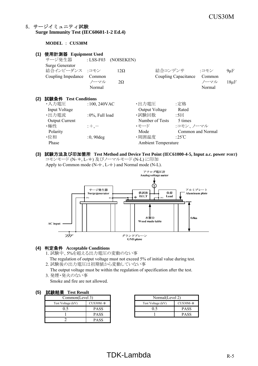#### 5.サージイミュニティ試験 **Surge Immunity Test (IEC60601-1-2 Ed.4)**

**MODEL** : **CUS30M**

| (1) | 使用計測器 Equipment Used   |                    |            |                            |                      |        |           |
|-----|------------------------|--------------------|------------|----------------------------|----------------------|--------|-----------|
|     | サージ発生器                 | : $LSS-F03$        | (NOISEKEN) |                            |                      |        |           |
|     | <b>Surge Generator</b> |                    |            |                            |                      |        |           |
|     | 結合インピーダンス :コモン         |                    | $12\Omega$ | 結合コンデンサ                    |                      | :コモン   | $9\mu F$  |
|     | Coupling Impedance     | Common             |            |                            | Coupling Capacitance | Common |           |
|     |                        | ノーマル               | $2\Omega$  |                            |                      | ノーマル   | $18\mu F$ |
|     |                        | Normal             |            |                            |                      | Normal |           |
|     |                        |                    |            |                            |                      |        |           |
| (2) | 試験条件 Test Conditions   |                    |            |                            |                      |        |           |
|     | ・入力電圧                  | $:100,240$ VAC     |            | ・出力電圧                      | :定格                  |        |           |
|     | Input Voltage          |                    |            | Output Voltage             | Rated                |        |           |
|     | ・出力電流                  | $:0\%$ , Full load |            | ・試験回数                      | $:5\Box$             |        |           |
|     | <b>Output Current</b>  |                    |            | Number of Tests            | 5 times              |        |           |
|     | ・極性                    | $: +, -$           |            | ・モード                       | :コモン、ノーマル            |        |           |
|     | Polarity               |                    |            | Mode                       | Common and Normal    |        |           |
|     | ・位相                    | $:0,90$ deg        |            | ・周囲温度                      | :25°C                |        |           |
|     | Phase                  |                    |            | <b>Ambient Temperature</b> |                      |        |           |
|     |                        |                    |            |                            |                      |        |           |

**(3)** 試験方法及び印加箇所 **Test Method and Device Test Point (IEC61000-4-5, Input a.c. power PORT)** コモンモード (N- +, L- +) 及びノーマルモード (N-L) に印加 Apply to Common mode ( $N-\frac{+}{2}$ , L $-\frac{+}{2}$ ) and Normal mode (N-L).

アナログ電圧計 Analog voltage meter ⊙ サージ発生器 アルミプレート 供試体 負荷 Aluminum plate Surge generator  $D.U.T$ Load  $_{\rm FG}$ ДL,  $_{\rm FG}$ FG п 0.<br>Sm 木製台 Wood made table AC input  $\overline{\overline{z}}$ グランドプレーン **GND** plane

#### **(4)** 判定条件 **Acceptable Conditions**

- 1. 試験中、5%を超える出力電圧の変動のない事
- The regulation of output voltage must not exceed 5% of initial value during test.
- 2. 試験後の出力電圧は初期値から変動していない事

The output voltage must be within the regulation of specification after the test.

3. 発煙・発火のない事

Smoke and fire are not allowed.

#### **(5)** 試験結果 **Test Result**

| $F = 1.5$<br>----------- |             |                   |    |  |
|--------------------------|-------------|-------------------|----|--|
| Common(Level 3)          |             | Normal(Level 2)   |    |  |
| Test Voltage (kV)        | $CUS30M-*$  | Test Voltage (kV) | Cl |  |
|                          | <b>PASS</b> |                   |    |  |
|                          | <b>PASS</b> |                   |    |  |
|                          | <b>PASS</b> |                   |    |  |

|             | Normal(Level 2)   |             |  |
|-------------|-------------------|-------------|--|
| CUS30M-∗    | Test Voltage (kV) | $CUS30M-*$  |  |
| PASS        |                   | <b>PASS</b> |  |
| <b>PASS</b> |                   | <b>PASS</b> |  |

# $TDK-Lambda$  R-5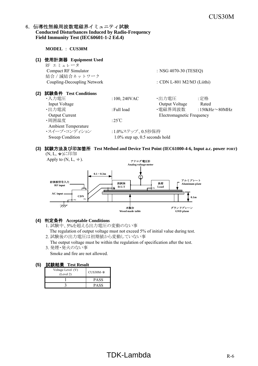#### 6. 伝導性無線周波数電磁界イミュニティ試験 **Conducted Disturbances Induced by Radio-Frequency Field Immunity Test (IEC60601-1-2 Ed.4)**

**MODEL** : **CUS30M (1)** 使用計測器 **Equipment Used** RF エミュレータ Compact RF Simulator : NSG 4070-30 (TESEQ) 結合/減結合ネットワーク Coupling-Decoupling Network : CDN L-801 M2/M3 (Liithi) **(2)** 試験条件 **Test Conditions** •入力電圧 :100, 240VAC •出力電圧 :定格 Input Voltage Output Voltage Rated ·出力電流 :Full load •電磁界周波数 :150kHz~80MHz Output Current **Electromagnetic Frequency** ・周囲温度  $\qquad \qquad :25^{\circ}\text{C}$ Ambient Temperature ・スイープ・コンディション :1.0%ステップ、0.5秒保持 Sweep Condition 1.0% step up, 0.5 seconds hold

#### **(3)** 試験方法及び印加箇所 **Test Method and Device Test Point (IEC61000-4-6, Input a.c. power PORT)** (N, L, +)に印加





#### **(4)** 判定条件 **Acceptable Conditions**

- 1. 試験中、5%を超える出力電圧の変動のない事 The regulation of output voltage must not exceed 5% of initial value during test.
- 2. 試験後の出力電圧は初期値から変動していない事 The output voltage must be within the regulation of specification after the test.
- 3. 発煙・発火のない事 Smoke and fire are not allowed.

| Voltage Level (V)<br>(Level 2) | $CUS30M-$ * |
|--------------------------------|-------------|
|                                | <b>PASS</b> |
|                                | PASS        |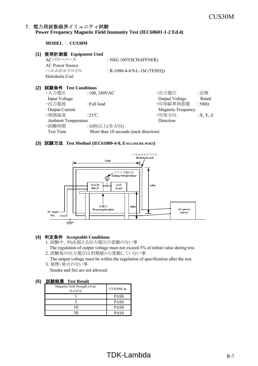#### 7.電力周波数磁界イミュニティ試験 **Power Frequency Magnetic Field Immunity Test (IEC60601-1-2 Ed.4)**

**MODEL** : **CUS30M**

#### **(1)** 使用計測器 **Equipment Used**

ACパワーソース : NSG 1007(SCHAFFNER) AC Power Source ヘルムホルツコイル : R-1000-4-8/9-L-1M (TESEQ) Helmholts Coil

#### **(2)** 試験条件 **Test Conditions**

| ・入力電圧                      | $:100,240$ VAC                        | ・出力電圧                     | :定格      |
|----------------------------|---------------------------------------|---------------------------|----------|
| <b>Input Voltage</b>       |                                       | Output Voltage            | Rated    |
| ・出力電流                      | :Full load                            | ·印加磁界周波数                  | :50Hz    |
| <b>Output Current</b>      |                                       | <b>Magnetic Frequency</b> |          |
| ・周囲温度                      | :25 $\degree$ C                       | ·印加方向                     | :X, Y, Z |
| <b>Ambient Temperature</b> |                                       | Direction                 |          |
| ·試験時間                      | :10秒以上(各方向)                           |                           |          |
| Test Time                  | More than 10 seconds (each direction) |                           |          |

#### **(3)** 試験方法 **Test Method (IEC61000-4-8, ENCLOSURE PORT)**



#### **(4)** 判定条件 **Acceptable Conditions**

- 1. 試験中、5%を超える出力電圧の変動のない事 The regulation of output voltage must not exceed 5% of initial value during test.
- 2. 試験後の出力電圧は初期値から変動していない事

 The output voltage must be within the regulation of specification after the test. 3. 発煙・発火のない事

Smoke and fire are not allowed.

| Magnetic Field Strength (A/m)<br>(Level 4) | $CUS30M-*$  |
|--------------------------------------------|-------------|
|                                            | <b>PASS</b> |
|                                            | <b>PASS</b> |
|                                            | <b>PASS</b> |
|                                            | <b>PASS</b> |